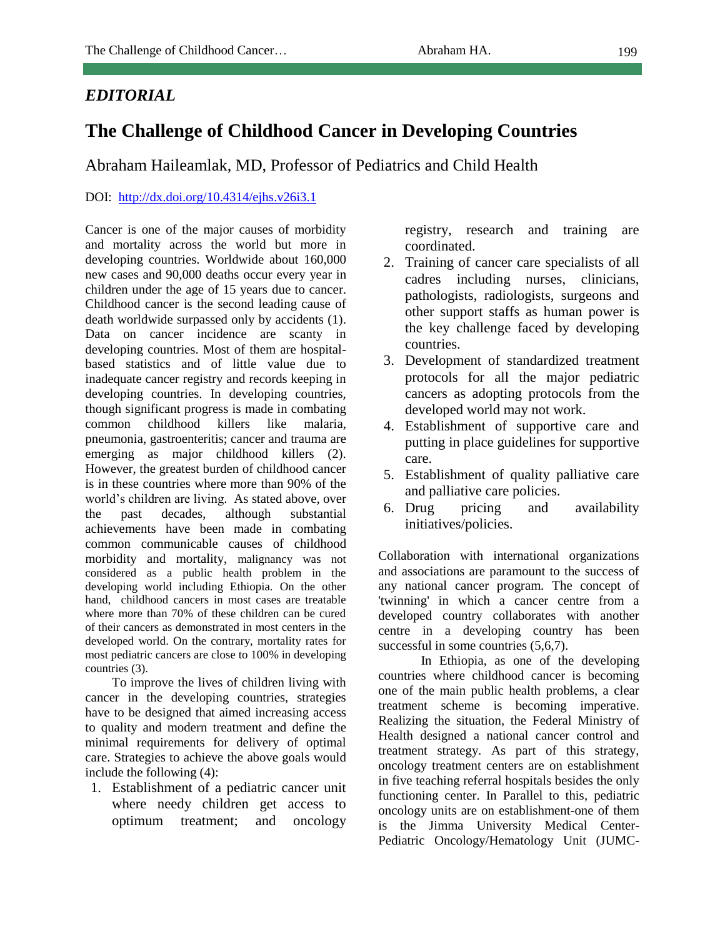## *EDITORIAL*

## **The Challenge of Childhood Cancer in Developing Countries**

Abraham Haileamlak, MD, Professor of Pediatrics and Child Health

## DOI: <http://dx.doi.org/10.4314/ejhs.v26i3.1>

Cancer is one of the major causes of morbidity and mortality across the world but more in developing countries. Worldwide about 160,000 new cases and 90,000 deaths occur every year in children under the age of 15 years due to cancer. Childhood cancer is the second leading cause of death worldwide surpassed only by accidents (1). Data on cancer incidence are scanty in developing countries. Most of them are hospitalbased statistics and of little value due to inadequate cancer registry and records keeping in developing countries. In developing countries, though significant progress is made in combating common childhood killers like malaria, pneumonia, gastroenteritis; cancer and trauma are emerging as major childhood killers (2). However, the greatest burden of childhood cancer is in these countries where more than 90% of the world's children are living. As stated above, over the past decades, although substantial achievements have been made in combating common communicable causes of childhood morbidity and mortality, malignancy was not considered as a public health problem in the developing world including Ethiopia. On the other hand, childhood cancers in most cases are treatable where more than 70% of these children can be cured of their cancers as demonstrated in most centers in the developed world. On the contrary, mortality rates for most pediatric cancers are close to 100% in developing countries (3).

To improve the lives of children living with cancer in the developing countries, strategies have to be designed that aimed increasing access to quality and modern treatment and define the minimal requirements for delivery of optimal care. Strategies to achieve the above goals would include the following (4):

1. Establishment of a pediatric cancer unit where needy children get access to optimum treatment; and oncology registry, research and training are coordinated.

- 2. Training of cancer care specialists of all cadres including nurses, clinicians, pathologists, radiologists, surgeons and other support staffs as human power is the key challenge faced by developing countries.
- 3. Development of standardized treatment protocols for all the major pediatric cancers as adopting protocols from the developed world may not work.
- 4. Establishment of supportive care and putting in place guidelines for supportive care.
- 5. Establishment of quality palliative care and palliative care policies.
- 6. Drug pricing and availability initiatives/policies.

Collaboration with international organizations and associations are paramount to the success of any national cancer program. The concept of 'twinning' in which a cancer centre from a developed country collaborates with another centre in a developing country has been successful in some countries  $(5.6,7)$ .

In Ethiopia, as one of the developing countries where childhood cancer is becoming one of the main public health problems, a clear treatment scheme is becoming imperative. Realizing the situation, the Federal Ministry of Health designed a national cancer control and treatment strategy. As part of this strategy, oncology treatment centers are on establishment in five teaching referral hospitals besides the only functioning center. In Parallel to this, pediatric oncology units are on establishment-one of them is the Jimma University Medical Center-Pediatric Oncology/Hematology Unit (JUMC-